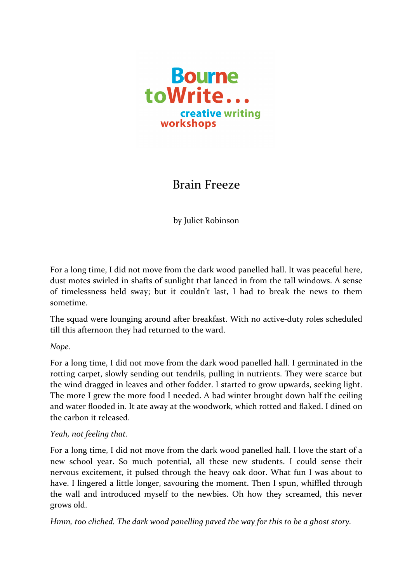

## Brain Freeze

by Juliet Robinson

For a long time, I did not move from the dark wood panelled hall. It was peaceful here, dust motes swirled in shafts of sunlight that lanced in from the tall windows. A sense of timelessness held sway; but it couldn't last, I had to break the news to them sometime. 

The squad were lounging around after breakfast. With no active-duty roles scheduled till this afternoon they had returned to the ward.

*Nope.*

For a long time, I did not move from the dark wood panelled hall. I germinated in the rotting carpet, slowly sending out tendrils, pulling in nutrients. They were scarce but the wind dragged in leaves and other fodder. I started to grow upwards, seeking light. The more I grew the more food I needed. A bad winter brought down half the ceiling and water flooded in. It ate away at the woodwork, which rotted and flaked. I dined on the carbon it released.

## *Yeah, not feeling that.*

For a long time, I did not move from the dark wood panelled hall. I love the start of a new school year. So much potential, all these new students. I could sense their nervous excitement, it pulsed through the heavy oak door. What fun I was about to have. I lingered a little longer, savouring the moment. Then I spun, whiffled through the wall and introduced myself to the newbies. Oh how they screamed, this never grows old.

*Hmm, too cliched. The dark wood panelling paved the way for this to be a ghost story.*